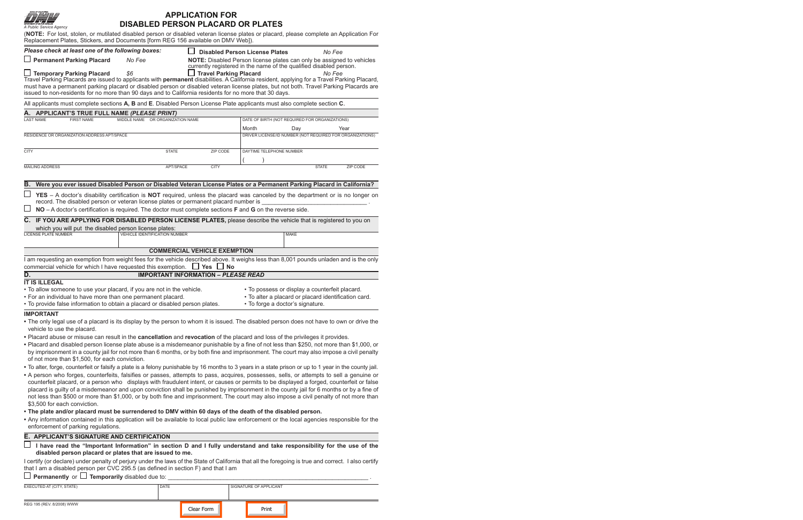| A Public Service Agency                                                                                                                                                                                                                                                                                                                                                                                                             | <b>DISABLED PERSON PLACARD OR PLATES</b> | <b>APPLICATION FOR</b>                     |                                                                                                                                             |                          |  |  |  |  |
|-------------------------------------------------------------------------------------------------------------------------------------------------------------------------------------------------------------------------------------------------------------------------------------------------------------------------------------------------------------------------------------------------------------------------------------|------------------------------------------|--------------------------------------------|---------------------------------------------------------------------------------------------------------------------------------------------|--------------------------|--|--|--|--|
| (NOTE: For lost, stolen, or mutilated disabled person or disabled veteran license plates or placard, please complete an Application For<br>Replacement Plates, Stickers, and Documents [form REG 156 available on DMV Web]).                                                                                                                                                                                                        |                                          |                                            |                                                                                                                                             |                          |  |  |  |  |
| Please check at least one of the following boxes:                                                                                                                                                                                                                                                                                                                                                                                   |                                          |                                            | <b>Disabled Person License Plates</b>                                                                                                       | No Fee                   |  |  |  |  |
| $\Box$ Permanent Parking Placard                                                                                                                                                                                                                                                                                                                                                                                                    | No Fee                                   |                                            | NOTE: Disabled Person license plates can only be assigned to vehicles<br>currently registered in the name of the qualified disabled person. |                          |  |  |  |  |
| $\Box$ Temporary Parking Placard<br>Travel Parking Placards are issued to applicants with permanent disabilities. A California resident, applying for a Travel Parking Placard,<br>must have a permanent parking placard or disabled person or disabled veteran license plates, but not both. Travel Parking Placards are<br>issued to non-residents for no more than 90 days and to California residents for no more that 30 days. | \$6                                      | $\Box$ Travel Parking Placard              |                                                                                                                                             | No Fee                   |  |  |  |  |
| All applicants must complete sections A, B and E. Disabled Person License Plate applicants must also complete section C.                                                                                                                                                                                                                                                                                                            |                                          |                                            |                                                                                                                                             |                          |  |  |  |  |
| A. APPLICANT'S TRUE FULL NAME (PLEASE PRINT)                                                                                                                                                                                                                                                                                                                                                                                        |                                          |                                            |                                                                                                                                             |                          |  |  |  |  |
| <b>LAST NAME</b><br><b>FIRST NAME</b>                                                                                                                                                                                                                                                                                                                                                                                               | MIDDLE NAME OR ORGANIZATION NAME         |                                            | DATE OF BIRTH (NOT REQUIRED FOR ORGANIZATIONS)                                                                                              |                          |  |  |  |  |
|                                                                                                                                                                                                                                                                                                                                                                                                                                     |                                          |                                            | Month<br>Day                                                                                                                                | Year                     |  |  |  |  |
| RESIDENCE OR ORGANIZATION ADDRESS APT/SPACE                                                                                                                                                                                                                                                                                                                                                                                         |                                          |                                            | DRIVER LICENSE/ID NUMBER (NOT REQUIRED FOR ORGANIZATIONS)                                                                                   |                          |  |  |  |  |
| <b>CITY</b>                                                                                                                                                                                                                                                                                                                                                                                                                         | <b>STATE</b>                             | ZIP CODE                                   | DAYTIME TELEPHONE NUMBER                                                                                                                    |                          |  |  |  |  |
|                                                                                                                                                                                                                                                                                                                                                                                                                                     |                                          |                                            |                                                                                                                                             |                          |  |  |  |  |
| <b>MAILING ADDRESS</b>                                                                                                                                                                                                                                                                                                                                                                                                              | APT/SPACE                                | <b>CITY</b>                                |                                                                                                                                             | <b>STATE</b><br>ZIP CODE |  |  |  |  |
|                                                                                                                                                                                                                                                                                                                                                                                                                                     |                                          |                                            |                                                                                                                                             |                          |  |  |  |  |
| В.<br>Were you ever issued Disabled Person or Disabled Veteran License Plates or a Permanent Parking Placard in California?                                                                                                                                                                                                                                                                                                         |                                          |                                            |                                                                                                                                             |                          |  |  |  |  |
| YES - A doctor's disability certification is NOT required, unless the placard was canceled by the department or is no longer on                                                                                                                                                                                                                                                                                                     |                                          |                                            |                                                                                                                                             |                          |  |  |  |  |
| record. The disabled person or veteran license plates or permanent placard number is                                                                                                                                                                                                                                                                                                                                                |                                          |                                            |                                                                                                                                             |                          |  |  |  |  |
| NO - A doctor's certification is required. The doctor must complete sections <b>F</b> and <b>G</b> on the reverse side.                                                                                                                                                                                                                                                                                                             |                                          |                                            |                                                                                                                                             |                          |  |  |  |  |
| C. IF YOU ARE APPLYING FOR DISABLED PERSON LICENSE PLATES, please describe the vehicle that is registered to you on                                                                                                                                                                                                                                                                                                                 |                                          |                                            |                                                                                                                                             |                          |  |  |  |  |
| which you will put the disabled person license plates:                                                                                                                                                                                                                                                                                                                                                                              |                                          |                                            |                                                                                                                                             |                          |  |  |  |  |
| <b>LICENSE PLATE NUMBER</b>                                                                                                                                                                                                                                                                                                                                                                                                         | <b>VEHICLE IDENTIFICATION NUMBER</b>     |                                            | MAKE                                                                                                                                        |                          |  |  |  |  |
|                                                                                                                                                                                                                                                                                                                                                                                                                                     |                                          | <b>COMMERCIAL VEHICLE EXEMPTION</b>        |                                                                                                                                             |                          |  |  |  |  |
| I am requesting an exemption from weight fees for the vehicle described above. It weighs less than 8,001 pounds unladen and is the only<br>commercial vehicle for which I have requested this exemption. $\Box$ Yes $\Box$ No                                                                                                                                                                                                       |                                          |                                            |                                                                                                                                             |                          |  |  |  |  |
| D.                                                                                                                                                                                                                                                                                                                                                                                                                                  |                                          | <b>IMPORTANT INFORMATION - PLEASE READ</b> |                                                                                                                                             |                          |  |  |  |  |
| <b>IT IS ILLEGAL</b>                                                                                                                                                                                                                                                                                                                                                                                                                |                                          |                                            |                                                                                                                                             |                          |  |  |  |  |
| . To allow someone to use your placard, if you are not in the vehicle.                                                                                                                                                                                                                                                                                                                                                              |                                          |                                            | • To possess or display a counterfeit placard.<br>· To alter a placard or placard identification card.                                      |                          |  |  |  |  |
| • For an individual to have more than one permanent placard.<br>• To provide false information to obtain a placard or disabled person plates.                                                                                                                                                                                                                                                                                       |                                          |                                            | • To forge a doctor's signature.                                                                                                            |                          |  |  |  |  |
|                                                                                                                                                                                                                                                                                                                                                                                                                                     |                                          |                                            |                                                                                                                                             |                          |  |  |  |  |
| <b>IMPORTANT</b><br>. The only legal use of a placard is its display by the person to whom it is issued. The disabled person does not have to own or drive the<br>vehicle to use the placard.                                                                                                                                                                                                                                       |                                          |                                            |                                                                                                                                             |                          |  |  |  |  |
| . Placard abuse or misuse can result in the cancellation and revocation of the placard and loss of the privileges it provides.                                                                                                                                                                                                                                                                                                      |                                          |                                            |                                                                                                                                             |                          |  |  |  |  |
| • Placard and disabled person license plate abuse is a misdemeanor punishable by a fine of not less than \$250, not more than \$1,000, or<br>by imprisonment in a county jail for not more than 6 months, or by both fine and imprisonment. The court may also impose a civil penalty<br>of not more than \$1,500, for each conviction.                                                                                             |                                          |                                            |                                                                                                                                             |                          |  |  |  |  |
| • To alter, forge, counterfeit or falsify a plate is a felony punishable by 16 months to 3 years in a state prison or up to 1 year in the county jail.                                                                                                                                                                                                                                                                              |                                          |                                            |                                                                                                                                             |                          |  |  |  |  |
| • A person who forges, counterfeits, falsifies or passes, attempts to pass, acquires, possesses, sells, or attempts to sell a genuine or<br>counterfeit placard, or a person who displays with fraudulent intent, or causes or permits to be displayed a forged, counterfeit or false                                                                                                                                               |                                          |                                            |                                                                                                                                             |                          |  |  |  |  |
| placard is guilty of a misdemeanor and upon conviction shall be punished by imprisonment in the county jail for 6 months or by a fine of<br>not less than \$500 or more than \$1,000, or by both fine and imprisonment. The court may also impose a civil penalty of not more than<br>\$3,500 for each conviction.                                                                                                                  |                                          |                                            |                                                                                                                                             |                          |  |  |  |  |
| . The plate and/or placard must be surrendered to DMV within 60 days of the death of the disabled person.                                                                                                                                                                                                                                                                                                                           |                                          |                                            |                                                                                                                                             |                          |  |  |  |  |
| • Any information contained in this application will be available to local public law enforcement or the local agencies responsible for the<br>enforcement of parking regulations.                                                                                                                                                                                                                                                  |                                          |                                            |                                                                                                                                             |                          |  |  |  |  |
| E. APPLICANT'S SIGNATURE AND CERTIFICATION                                                                                                                                                                                                                                                                                                                                                                                          |                                          |                                            |                                                                                                                                             |                          |  |  |  |  |
| $\Box$ I have read the "Important Information" in section D and I fully understand and take responsibility for the use of the<br>disabled person placard or plates that are issued to me.                                                                                                                                                                                                                                           |                                          |                                            |                                                                                                                                             |                          |  |  |  |  |
| I certify (or declare) under penalty of perjury under the laws of the State of California that all the foregoing is true and correct. I also certify<br>that I am a disabled person per CVC 295.5 (as defined in section F) and that I am                                                                                                                                                                                           |                                          |                                            |                                                                                                                                             |                          |  |  |  |  |
| $\Box$ Permanently or $\Box$ Temporarily disabled due to: $\Box$                                                                                                                                                                                                                                                                                                                                                                    |                                          |                                            |                                                                                                                                             |                          |  |  |  |  |

| EXECUTED AT (CITY, STATE) | <b>DATE</b> |            | SIGNATURE OF APPLICANT |  |
|---------------------------|-------------|------------|------------------------|--|
| REG 195 (REV. 8/2008) WWW |             | Clear Form | Print                  |  |